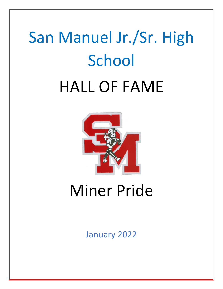# San Manuel Jr./Sr. High **School** HALL OF FAME



## Miner Pride

January 2022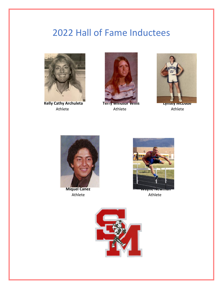## 2022 Hall of Fame Inductees





Athlete Athlete Athlete





**Miquel Canez** *Athlete* Athlete Athlete



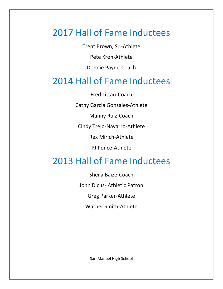## 2017 Hall of Fame Inductees

Trent Brown, Sr.-Athlete

Pete Kron-Athlete

Donnie Payne-Coach

## 2014 Hall of Fame Inductees

Fred Littau-Coach

Cathy Garcia Gonzales-Athlete

Manny Ruiz-Coach

Cindy Trejo-Navarro-Athlete

Rex Mirich-Athlete

PJ Ponce-Athlete

## 2013 Hall of Fame Inductees

Sheila Baize-Coach John Dicus- Athletic Patron Greg Parker-Athlete Warner Smith-Athlete

San Manuel High School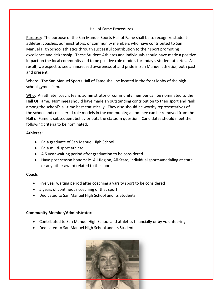#### Hall of Fame Procedures

Purpose: The purpose of the San Manuel Sports Hall of Fame shall be to recognize studentathletes, coaches, administrators, or community members who have contributed to San Manuel High School athletics through successful contribution to their sport promoting excellence and citizenship. These Student-Athletes and individuals should have made a positive impact on the local community and to be positive role models for today's student athletes. As a result, we expect to see an increased awareness of and pride in San Manuel athletics, both past and present.

Where: The San Manuel Sports Hall of Fame shall be located in the front lobby of the high school gymnasium.

Who: An athlete, coach, team, administrator or community member can be nominated to the Hall Of Fame. Nominees should have made an outstanding contribution to their sport and rank among the school's all-time best statistically. They also should be worthy representatives of the school and considered role models in the community; a nominee can be removed from the Hall of Fame is subsequent behavior puts the status in question. Candidates should meet the following criteria to be nominated:

#### **Athletes:**

- Be a graduate of San Manuel High School
- Be a multi-sport athlete
- A 5 year waiting period after graduation to be considered
- Have post season honors: ie. All-Region, All-State, individual sports=medaling at state, or any other award related to the sport

#### **Coach:**

- Five year waiting period after coaching a varsity sport to be considered
- 5 years of continuous coaching of that sport
- Dedicated to San Manuel High School and its Students

#### **Community Member/Administrator:**

- Contributed to San Manuel High School and athletics financially or by volunteering
- Dedicated to San Manuel High School and its Students

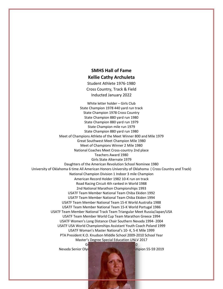#### **SMHS Hall of Fame Kellie Cathy Archuleta**

Student Athlete 1976-1980 Cross Country, Track & Field Inducted January 2022

White letter holder – Girls Club State Champion 1978 440 yard run track State Champion 1978 Cross Country State Champion 880 yard run 1980 State Champion 880 yard run 1979 State Champion mile run 1979 State Champion 880 yard run 1980 Meet of Champions Athlete of the Meet Winner 800 and Mile 1979 Great Southwest Meet Champion Mile 1980 Meet of Champions Winner 2 Mile 1980 National Coaches Meet Cross-country 2nd place Teachers Award 1980 Girls State Alternate 1979 Daughters of the American Revolution School Nominee 1980 University of Oklahoma 6 time All American Honors University of Oklahoma ( Cross Country and Track) National Champion Division 1 Indoor 3 mile Champion American Record Holder 1982 10-K run on track Road Racing Circuit 4th ranked in World 1988 2nd National Marathon Championships 1993 USATF Team Member National Team Chiba Ekiden 1992 USATF Team Member National Team Chiba Ekiden 1994 USATF Team Member National Team 15-K World Australia 1988 USATF Team Member National Team 15-K World Portugal 1986 USATF Team Member National Track Team Triangular Meet Russia/Japan/USA USATF Team Member World Cup Team Marathon Greece 1994 USATF Women's Long Distance Chair Southern Nevada 1994- 2004 USATF USA World Championships Assistant Youth Coach Poland 1999 USATF Woman's Master National's 10- K, 5-K Mile 1999 PTA President K.O. Knudson Middle School 2009-2010 School Year Master's Degree Special Education UNLV 2017 Golden Key Recipient UNLV 2010

Nevada Senior Olympics 200 Meter Freestyle Champion 55-59 2019

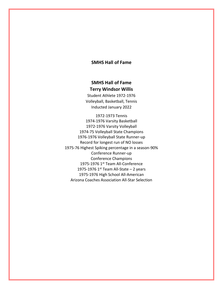#### **SMHS Hall of Fame**

#### **SMHS Hall of Fame Terry Windsor Willis**

Student Athlete 1972-1976 Volleyball, Basketball, Tennis Inducted January 2022

1972-1973 Tennis 1974-1976 Varsity Basketball 1972-1976 Varsity Volleyball 1974-75 Volleyball State Champions 1976-1976 Volleyball State Runner-up Record for longest run of NO losses 1975-76 Highest Spiking percentage in a season-90% Conference Runner-up Conference Champions 1975-1976 1<sup>st</sup> Team All-Conference 1975-1976  $1<sup>st</sup>$  Team All-State – 2 years 1975-1976 High School All-American Arizona Coaches Association All-Star Selection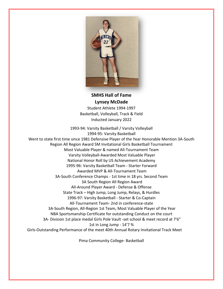

**SMHS Hall of Fame Lynsey McDade**

Student Athlete 1994-1997 Basketball, Volleyball, Track & Field Inducted January 2022

1993-94: Varsity Basketball / Varsity Volleyball 1994-95: Varsity Basketball Went to state first time since 1981 Defensive Player of the Year Honorable Mention 3A-South Region All Region Award SM Invitational Girls Basketball Tournament Most Valuable Player & named All-Tournament Team Varsity Volleyball-Awarded Most Valuable Player National Honor Roll by US Achievement Academy 1995-96: Varsity Basketball Team - Starter Forward Awarded MVP & All-Tournament Team 3A-South Conference Champs - 1st time in 18 yrs. Second Team 3A South Region All Region Award All-Around Player Award - Defense & Offense State Track – High Jump, Long Jump, Relays, & Hurdles 1996-97: Varsity Basketball - Starter & Co-Captain All-Tournament Team- 2nd in conference-state 3A-South Region, All-Region 1st Team, Most Valuable Player of the Year NBA Sportsmanship Certificate for outstanding Conduct on the court 3A- Division 1st place medal Girls Pole Vault -set school & meet record at 7'6" 1st in Long Jump - 14'7 % Girls-Outstanding Performance of the meet 40th Annual Rotary Invitational Track Meet

Pima Community College- Basketball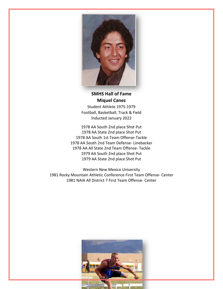

**SMHS Hall of Fame Miquel Canez**

Student Athlete 1975-1979 Football, Basketball, Track & Field Inducted January 2022

1978 AA South 2nd place Shot Put 1978 AA State 2nd place Shot Put 1978 AA South 1st Team Offense-Tackle 1978 AA South 2nd Team Defense- Linebacker 1978 AA All State 2nd Team Offense- Tackle 1979 AA South 2nd place Shot Put 1979 AA State 2nd place Shot Put

Western New Mexico University 1981 Rocky Mountain Athletic Conference First Team Offense- Center 1981 NAIA All District 7 First Team Offense- Center

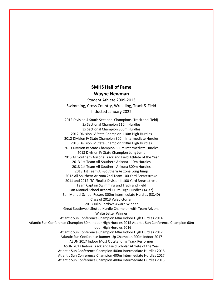#### **SMHS Hall of Fame Wayne Newman**

Student Athlete 2009-2013 Swimming, Cross Country, Wrestling, Track & Field Inducted January 2022

2012 Division 4 South Sectional Champions (Track and Field) 3x Sectional Champion 110m Hurdles 3x Sectional Champion 300m Hurdles 2012 Division IV State Champion 110m High Hurdles 2012 Division IV State Champion 300m Intermediate Hurdles 2013 Division IV State Champion 110m High Hurdles 2013 Division IV State Champion 300m Intermediate Hurdles 2013 Division IV State Champion Long Jump 2013 All Southern Arizona Track and Field Athlete of the Year 2013 1st Team All-Southern Arizona 110m Hurdles 2013 1st Team All-Southern Arizona 300m Hurdles 2013 1st Team All-Southern Arizona Long Jump 2012 All Southern Arizona 2nd Team 100 Yard Breaststroke 2011 and 2012 "B" Finalist Division II 100 Yard Breaststroke Team Captain Swimming and Track and Field San Manuel School Record 110m High Hurdles (14.37) San Manuel School Record 300m Intermediate Hurdles (38.40) Class of 2013 Valedictorian 2013 Julio Cordova Award Winner Great Southwest Shuttle Hurdle Champion with Team Arizona White Letter Winner Atlantic Sun Conference Champion 60m Indoor High Hurdles 2014 Atlantic Sun Conference Champion 60m Indoor High Hurdles 2015 Atlantic Sun Conference Champion 60m Indoor High Hurdles 2016 Atlantic Sun Conference Champion 60m Indoor High Hurdles 2017 Atlantic Sun Conference Runner-Up Champion 200m Indoor 2017 ASUN 2017 Indoor Most Outstanding Track Performer ASUN 2017 Indoor Track and Field Scholar Athlete of the Year Atlantic Sun Conference Champion 400m Intermediate Hurdles 2016 Atlantic Sun Conference Champion 400m Intermediate Hurdles 2017 Atlantic Sun Conference Champion 400m Intermediate Hurdles 2018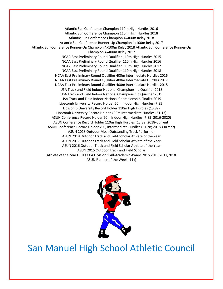Atlantic Sun Conference Champion 110m High Hurdles 2016 Atlantic Sun Conference Champion 110m High Hurdles 2018 Atlantic Sun Conference Champion 4x400m Relay 2018 Atlantic Sun Conference Runner-Up Champion 4x100m Relay 2017 Atlantic Sun Conference Runner-Up Champion 4x100m Relay 2018 Atlantic Sun Conference Runner-Up Champion 4x400m Relay 2017 NCAA East Preliminary Round Qualifier 110m High Hurdles 2015 NCAA East Preliminary Round Qualifier 110m High Hurdles 2016 NCAA East Preliminary Round Qualifier 110m High Hurdles 2017 NCAA East Preliminary Round Qualifier 110m High Hurdles 2018 NCAA East Preliminary Round Qualifier 400m Intermediate Hurdles 2016 NCAA East Preliminary Round Qualifier 400m Intermediate Hurdles 2017 NCAA East Preliminary Round Qualifier 400m Intermediate Hurdles 2018 USA Track and Field Indoor National Championship Qualifier 2018 USA Track and Field Indoor National Championship Qualifier 2019 USA Track and Field Indoor National Championship Finalist 2019 Lipscomb University Record Holder 60m Indoor High Hurdles (7.85) Lipscomb University Record Holder 110m High Hurdles (13.82) Lipscomb University Record Holder 400m Intermediate Hurdles (51.13) ASUN Conference Record Holder 60m Indoor High Hurdles (7.85; 2016-2020) ASUN Conference Record Holder 110m High Hurdles (13.82; 2018-Current) ASUN Conference Record Holder 400, Intermediate Hurdles (51.28; 2018-Current) ASUN 2018 Outdoor Most Outstanding Track Performer ASUN 2018 Outdoor Track and Field Scholar Athlete of the Year ASUN 2017 Outdoor Track and Field Scholar Athlete of the Year ASUN 2016 Outdoor Track and Field Scholar Athlete of the Year ASUN 2015 Outdoor Track and Field Scholar Athlete of the Year USTFCCCA Division 1 All-Academic Award 2015,2016,2017,2018 ASUN Runner of the Week (11x)



### San Manuel High School Athletic Council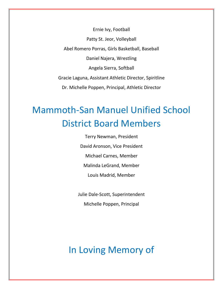Ernie Ivy, Football Patty St. Jeor, Volleyball Abel Romero Porras, Girls Basketball, Baseball Daniel Najera, Wrestling Angela Sierra, Softball Gracie Laguna, Assistant Athletic Director, Spiritline Dr. Michelle Poppen, Principal, Athletic Director

## Mammoth-San Manuel Unified School District Board Members

Terry Newman, President David Aronson, Vice President Michael Carnes, Member Malinda LeGrand, Member Louis Madrid, Member

Julie Dale-Scott, Superintendent

Michelle Poppen, Principal

In Loving Memory of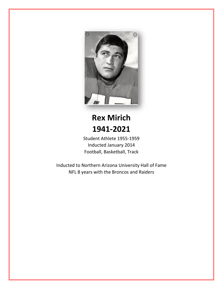

## **Rex Mirich 1941-2021**

Student Athlete 1955-1959 Inducted January 2014 Football, Basketball, Track

Inducted to Northern Arizona University Hall of Fame NFL 8 years with the Broncos and Raiders